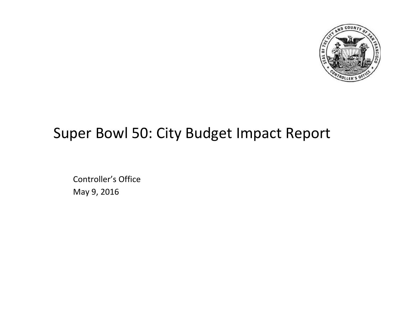

# Super Bowl 50: City Budget Impact Report

Controller's Office May 9, 2016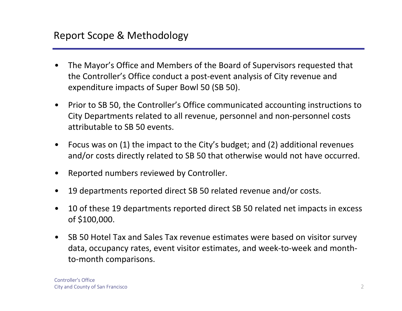- • The Mayor's Office and Members of the Board of Supervisors requested that the Controller's Office conduct <sup>a</sup> post‐event analysis of City revenue and expenditure impacts of Super Bowl 50 (SB 50).
- • Prior to SB 50, the Controller's Office communicated accounting instructions to City Departments related to all revenue, personnel and non‐personnel costs attributable to SB 50 events.
- $\bullet$  Focus was on (1) the impact to the City's budget; and (2) additional revenues and/or costs directly related to SB 50 that otherwise would not have occurred.
- $\bullet$ Reported numbers reviewed by Controller.
- •19 departments reported direct SB 50 related revenue and/or costs.
- • 10 of these 19 departments reported direct SB 50 related net impacts in excess of \$100,000.
- $\bullet$  SB 50 Hotel Tax and Sales Tax revenue estimates were based on visitor survey data, occupancy rates, event visitor estimates, and week‐to‐week and month‐ to‐month comparisons.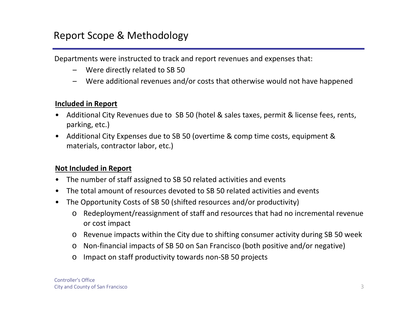## Report Scope & Methodology

Departments were instructed to track and report revenues and expenses that:

- –Were directly related to SB 50
- –Were additional revenues and/or costs that otherwise would not have happened

#### **Included in Report**

- $\bullet$  Additional City Revenues due to SB 50 (hotel & sales taxes, permit & license fees, rents, parking, etc.)
- $\bullet$  Additional City Expenses due to SB 50 (overtime & comp time costs, equipment & materials, contractor labor, etc.)

#### **Not Included in Report**

- •The number of staff assigned to SB 50 related activities and events
- •The total amount of resources devoted to SB 50 related activities and events
- $\bullet$  The Opportunity Costs of SB 50 (shifted resources and/or productivity)
	- o Redeployment/reassignment of staff and resources that had no incremental revenue or cost impact
	- o Revenue impacts within the City due to shifting consumer activity during SB 50 week
	- o Non‐financial impacts of SB 50 on San Francisco (both positive and/or negative)
	- o Impact on staff productivity towards non‐SB 50 projects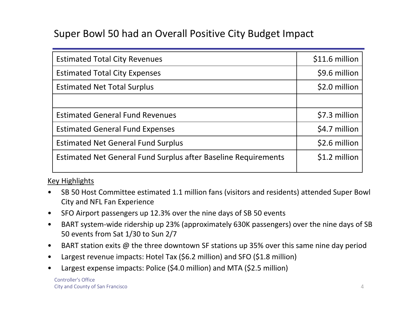## Super Bowl 50 had an Overall Positive City Budget Impact

| <b>Estimated Total City Revenues</b>                           | \$11.6 million |
|----------------------------------------------------------------|----------------|
| <b>Estimated Total City Expenses</b>                           | \$9.6 million  |
| <b>Estimated Net Total Surplus</b>                             | \$2.0 million  |
|                                                                |                |
| <b>Estimated General Fund Revenues</b>                         | \$7.3 million  |
| <b>Estimated General Fund Expenses</b>                         | \$4.7 million  |
| <b>Estimated Net General Fund Surplus</b>                      | \$2.6 million  |
| Estimated Net General Fund Surplus after Baseline Requirements | \$1.2 million  |
|                                                                |                |

#### Key Highlights

- $\bullet$  SB 50 Host Committee estimated 1.1 million fans (visitors and residents) attended Super Bowl City and NFL Fan Experience
- •SFO Airport passengers up 12.3% over the nine days of SB 50 events
- $\bullet$  BART system‐wide ridership up 23% (approximately 630K passengers) over the nine days of SB 50 events from Sat 1/30 to Sun 2/7
- $\bullet$ BART station exits @ the three downtown SF stations up 35% over this same nine day period
- $\bullet$ Largest revenue impacts: Hotel Tax (\$6.2 million) and SFO (\$1.8 million)
- •Largest expense impacts: Police (\$4.0 million) and MTA (\$2.5 million)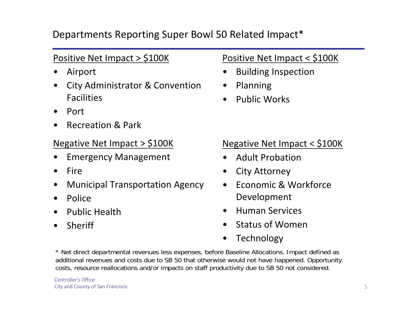## Departments Reporting Super Bowl 50 Related Impact\*

## Positive Net Impact <sup>&</sup>gt; \$100K

- •Airport
- • City Administrator & Convention Facilities
- •Port
- •Recreation & Park

#### Negative Net Impact <sup>&</sup>gt; \$100K

- •Emergency Management
- •Fire
- •Municipal Transportation Agency
- •Police
- •Public Health
- •Sheriff

## Positive Net Impact <sup>&</sup>lt; \$100K

- •Building Inspection
- •Planning
- •Public Works

#### Negative Net Impact <sup>&</sup>lt; \$100K

- •Adult Probation
- •City Attorney
- $\bullet$  Economic & Workforce Development
- •Human Services
- •Status of Women
- •Technology

\* Net direct departmental revenues less expenses, before Baseline Allocations. Impact defined as additional revenues and costs due to SB 50 that otherwise would not have happened. Opportunity costs, resource reallocations and/or impacts on staff productivity due to SB 50 not considered.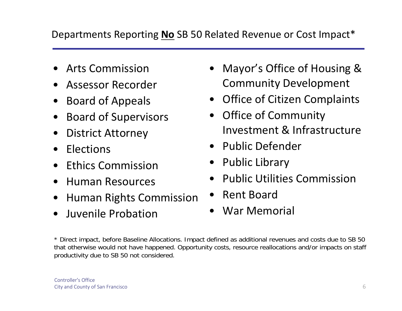## Departments Reporting **No** SB 50 Related Revenue or Cost Impact\*

- •Arts Commission
- •Assessor Recorder
- •Board of Appeals
- •Board of Supervisors
- •District Attorney
- $\bullet$ Elections
- $\bullet$ Ethics Commission
- $\bullet$ Human Resources
- $\bullet$ Human Rights Commission
- •Juvenile Probation
- Mayor's Office of Housing & Community Development
- Office of Citizen Complaints
- $\bullet$  Office of Community Investment & Infrastructure
- Public Defender
- Public Library
- •Public Utilities Commission
- $\bullet$ Rent Board
- War Memorial

\* Direct impact, before Baseline Allocations. Impact defined as additional revenues and costs due to SB 50 that otherwise would not have happened. Opportunity costs, resource reallocations and/or impacts on staff productivity due to SB 50 not considered.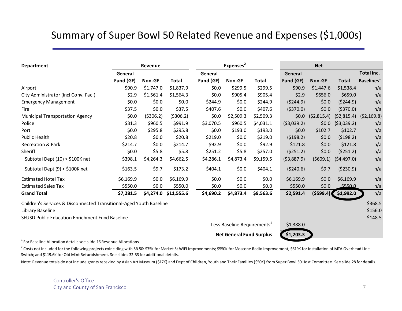## Summary of Super Bowl 50 Related Revenue and Expenses (\$1,000s)

| <b>Department</b>                                                              |           | Revenue    |                      |           | Expenses <sup>2</sup>                   |              |            | <b>Net</b> |              |                           |
|--------------------------------------------------------------------------------|-----------|------------|----------------------|-----------|-----------------------------------------|--------------|------------|------------|--------------|---------------------------|
|                                                                                | General   |            |                      | General   |                                         |              | General    |            |              | Total inc.                |
|                                                                                | Fund (GF) | Non-GF     | <b>Total</b>         | Fund (GF) | Non-GF                                  | <b>Total</b> | Fund (GF)  | Non-GF     | <b>Total</b> | Baselines <sup>1</sup>    |
| Airport                                                                        | \$90.9    | \$1,747.0  | \$1,837.9            | \$0.0\$   | \$299.5                                 | \$299.5      | \$90.9     | \$1,447.6  | \$1,538.4    | n/a                       |
| City Administrator (incl Conv. Fac.)                                           | \$2.9     | \$1,561.4  | \$1,564.3            | \$0.0\$   | \$905.4                                 | \$905.4      | \$2.9      | \$656.0    | \$659.0      | n/a                       |
| <b>Emergency Management</b>                                                    | \$0.0\$   | \$0.0      | \$0.0                | \$244.9   | \$0.0\$                                 | \$244.9      | (5244.9)   | \$0.0\$    | (5244.9)     | n/a                       |
| Fire                                                                           | \$37.5    | \$0.0      | \$37.5               | \$407.6   | \$0.0\$                                 | \$407.6      | (5370.0)   | \$0.0\$    | (5370.0)     | n/a                       |
| <b>Municipal Transportation Agency</b>                                         | \$0.0\$   | ( \$306.2) | ( \$306.2)           | \$0.0     | \$2,509.3                               | \$2,509.3    | \$0.0\$    | (52,815.4) |              | $(52,815.4)$ $(52,169.8)$ |
| Police                                                                         | \$31.3    | \$960.5    | \$991.9              | \$3,070.5 | \$960.5                                 | \$4,031.1    | (53,039.2) | \$0.0\$    | (53,039.2)   | n/a                       |
| Port                                                                           | \$0.0     | \$295.8    | \$295.8              | \$0.0     | \$193.0                                 | \$193.0      | \$0.0      | \$102.7    | \$102.7      | n/a                       |
| Public Health                                                                  | \$20.8    | \$0.0      | \$20.8               | \$219.0   | \$0.0                                   | \$219.0      | (5198.2)   | \$0.0\$    | (5198.2)     | n/a                       |
| <b>Recreation &amp; Park</b>                                                   | \$214.7   | \$0.0\$    | \$214.7              | \$92.9    | \$0.0                                   | \$92.9       | \$121.8    | \$0.0\$    | \$121.8      | n/a                       |
| Sheriff                                                                        | \$0.0     | \$5.8      | \$5.8\$              | \$251.2   | \$5.8                                   | \$257.0      | (5251.2)   | \$0.0      | (5251.2)     | n/a                       |
| Subtotal Dept (10) > \$100K net                                                | \$398.1   | \$4,264.3  | \$4,662.5            | \$4,286.1 | \$4,873.4                               | \$9,159.5    | (53,887.9) | (5609.1)   | (54, 497.0)  | n/a                       |
| Subtotal Dept $(9) < $100K$ net                                                | \$163.5   | \$9.7      | \$173.2              | \$404.1   | \$0.0\$                                 | \$404.1      | (5240.6)   | \$9.7      | (5230.9)     | n/a                       |
| <b>Estimated Hotel Tax</b>                                                     | \$6,169.9 | \$0.0      | \$6,169.9            | \$0.0     | \$0.0\$                                 | \$0.0\$      | \$6,169.9  | \$0.0\$    | \$6,169.9    | n/a                       |
| <b>Estimated Sales Tax</b>                                                     | \$550.0   | \$0.0\$    | \$550.0              | \$0.0\$   | \$0.0\$                                 | \$0.0\$      | \$550.0    | \$0.0\$    | \$550.0      | n/a                       |
| <b>Grand Total</b>                                                             | \$7,281.5 |            | \$4,274.0 \$11,555.6 | \$4,690.2 | \$4,873.4                               | \$9,563.6    | \$2,591.4  | ( \$599.4) | \$1,992.0    | n/a                       |
| Children's Services & Disconnected Transitional-Aged Youth Baseline            |           |            |                      |           |                                         |              |            |            |              | \$368.5                   |
| Library Baseline                                                               |           |            |                      |           |                                         |              |            |            |              | \$156.0                   |
| SFUSD Public Education Enrichment Fund Baseline                                |           |            |                      |           |                                         |              |            |            |              | \$148.5                   |
|                                                                                |           |            |                      |           | Less Baseline Requirements <sup>1</sup> |              | \$1,388.0  |            |              |                           |
|                                                                                |           |            |                      |           | <b>Net General Fund Surplus</b>         |              | \$1,203.3  |            |              |                           |
| <sup>1</sup> For Baseline Allocation details see slide 16 Revenue Allocations. |           |            |                      |           |                                         |              |            |            |              |                           |

 $^2$  Costs not included for the following projects coinciding with SB 50: \$75K for Market St WiFi Improvements; \$550K for Moscone Radio Improvement; \$619K for Installation of MTA Overhead Line Switch; and \$119.6K for Old Mint Refurbishment. See slides 32‐33 for additional details.

Note: Revenue totals do not include grants recevied by Asian Art Museum (\$17K) and Dept of Children, Youth and Their Families (\$50K) from Super Bowl 50 Host Committee. See slide 28 for details.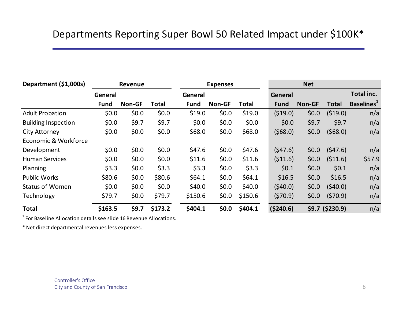## Departments Reporting Super Bowl 50 Related Impact under \$100K\*

| Department (\$1,000s)      |             | Revenue |         |             | <b>Expenses</b> |         |             | <b>Net</b> |                  |                               |
|----------------------------|-------------|---------|---------|-------------|-----------------|---------|-------------|------------|------------------|-------------------------------|
|                            | General     |         |         | General     |                 |         | General     |            |                  | Total inc.                    |
|                            | <b>Fund</b> | Non-GF  | Total   | <b>Fund</b> | <b>Non-GF</b>   | Total   | <b>Fund</b> | Non-GF     | <b>Total</b>     | <b>Baselines</b> <sup>1</sup> |
| <b>Adult Probation</b>     | \$0.0\$     | \$0.0   | \$0.0\$ | \$19.0      | \$0.0           | \$19.0  | (519.0)     | \$0.0\$    | (519.0)          | n/a                           |
| <b>Building Inspection</b> | \$0.0\$     | \$9.7   | \$9.7   | \$0.0\$     | \$0.0           | \$0.0\$ | \$0.0\$     | \$9.7      | \$9.7            | n/a                           |
| <b>City Attorney</b>       | \$0.0\$     | \$0.0   | \$0.0\$ | \$68.0      | \$0.0           | \$68.0  | (568.0)     | \$0.0\$    | (568.0)          | n/a                           |
| Economic & Workforce       |             |         |         |             |                 |         |             |            |                  |                               |
| Development                | \$0.0\$     | \$0.0   | \$0.0\$ | \$47.6      | \$0.0           | \$47.6  | (547.6)     | \$0.0\$    | (547.6)          | n/a                           |
| <b>Human Services</b>      | \$0.0\$     | \$0.0\$ | \$0.0\$ | \$11.6      | \$0.0           | \$11.6  | (511.6)     | \$0.0      | (511.6)          | \$57.9                        |
| Planning                   | \$3.3       | \$0.0   | \$3.3   | \$3.3       | \$0.0           | \$3.3   | \$0.1       | \$0.0\$    | \$0.1            | n/a                           |
| <b>Public Works</b>        | \$80.6      | \$0.0\$ | \$80.6  | \$64.1      | \$0.0           | \$64.1  | \$16.5      | \$0.0      | \$16.5           | n/a                           |
| <b>Status of Women</b>     | \$0.0\$     | \$0.0   | \$0.0\$ | \$40.0      | \$0.0           | \$40.0  | (540.0)     | \$0.0\$    | (540.0)          | n/a                           |
| Technology                 | \$79.7      | \$0.0   | \$79.7  | \$150.6     | \$0.0           | \$150.6 | (570.9)     | \$0.0\$    | (570.9)          | n/a                           |
| <b>Total</b>               | \$163.5     | \$9.7   | \$173.2 | \$404.1     | \$0.0\$         | \$404.1 | (5240.6)    |            | $$9.7$ (\$230.9) | n/a                           |

 $^1$  For Baseline Allocation details see slide 16 Revenue Allocations.

\* Net direct departmental revenues less expenses.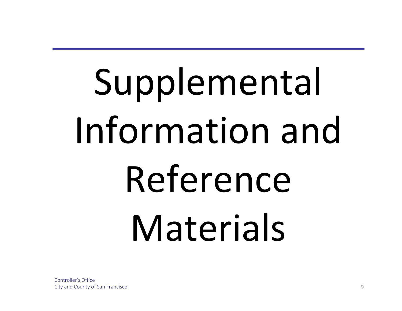# Supplemental Information and Reference Materials

Controller's OfficeCity and County of San Francisco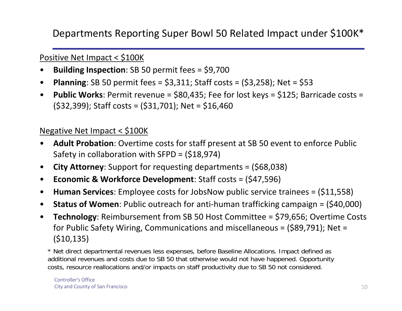Departments Reporting Super Bowl 50 Related Impact under \$100K\*

#### Positive Net Impact <sup>&</sup>lt; \$100K

- $\bullet$ **Building Inspection**: SB 50 permit fees <sup>=</sup> \$9,700
- $\bullet$ **Planning**: SB 50 permit fees <sup>=</sup> \$3,311; Staff costs <sup>=</sup> (\$3,258); Net <sup>=</sup> \$53
- $\bullet$  **Public Works**: Permit revenue <sup>=</sup> \$80,435; Fee for lost keys <sup>=</sup> \$125; Barricade costs <sup>=</sup> (\$32,399); Staff costs <sup>=</sup> (\$31,701); Net <sup>=</sup> \$16,460

#### Negative Net Impact <sup>&</sup>lt; \$100K

- $\bullet$  **Adult Probation**: Overtime costs for staff present at SB 50 event to enforce Public Safety in collaboration with SFPD <sup>=</sup> (\$18,974)
- $\bullet$ **City Attorney**: Support for requesting departments <sup>=</sup> (\$68,038)
- $\bullet$ **Economic & Workforce Development**: Staff costs <sup>=</sup> (\$47,596)
- $\bullet$ **Human Services**: Employee costs for JobsNow public service trainees <sup>=</sup> (\$11,558)
- $\bullet$ **Status of Women**: Public outreach for anti‐human trafficking campaign <sup>=</sup> (\$40,000)
- $\bullet$  **Technology**: Reimbursement from SB 50 Host Committee <sup>=</sup> \$79,656; Overtime Costs for Public Safety Wiring, Communications and miscellaneous <sup>=</sup> (\$89,791); Net <sup>=</sup> (\$10,135)

\* Net direct departmental revenues less expenses, before Baseline Allocations. Impact defined as additional revenues and costs due to SB 50 that otherwise would not have happened. Opportunity costs, resource reallocations and/or impacts on staff productivity due to SB 50 not considered.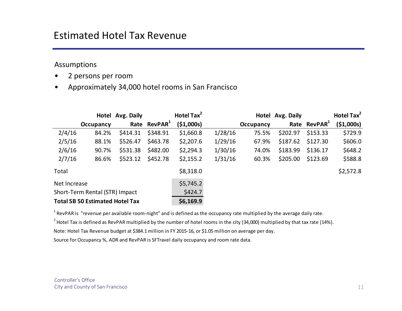#### Assumptions

- •2 persons per room
- •Approximately 34,000 hotel rooms in San Francisco

|              |                                        | Hotel Avg. Daily |                          | Hotel Tax <sup>2</sup> |         |           | Hotel Avg. Daily |                          | Hotel Tax <sup>2</sup> |
|--------------|----------------------------------------|------------------|--------------------------|------------------------|---------|-----------|------------------|--------------------------|------------------------|
|              | <b>Occupancy</b>                       |                  | Rate RevPAR <sup>1</sup> | (51,000s)              |         | Occupancy |                  | Rate RevPAR <sup>1</sup> | (51,000s)              |
| 2/4/16       | 84.2%                                  | \$414.31         | \$348.91                 | \$1,660.8              | 1/28/16 | 75.5%     | \$202.97         | \$153.33                 | \$729.9                |
| 2/5/16       | 88.1%                                  | \$526.47         | \$463.78                 | \$2,207.6              | 1/29/16 | 67.9%     | \$187.62         | \$127.30                 | \$606.0                |
| 2/6/16       | 90.7%                                  | \$531.38         | \$482.00                 | \$2,294.3              | 1/30/16 | 74.0%     | \$183.99         | \$136.17                 | \$648.2                |
| 2/7/16       | 86.6%                                  | \$523.12         | \$452.78                 | \$2,155.2              | 1/31/16 | 60.3%     | \$205.00         | \$123.69                 | \$588.8                |
| Total        |                                        |                  |                          | \$8,318.0              |         |           |                  |                          | \$2,572.8              |
| Net Increase |                                        |                  |                          | \$5,745.2              |         |           |                  |                          |                        |
|              | Short-Term Rental (STR) Impact         |                  |                          | \$424.7                |         |           |                  |                          |                        |
|              | <b>Total SB 50 Estimated Hotel Tax</b> |                  |                          | \$6,169.9              |         |           |                  |                          |                        |

 $^1$  RevPAR is "revenue per available room-night" and is defined as the occupancy rate multiplied by the average daily rate.

 $^2$  Hotel Tax is defined as RevPAR multiplied by the number of hotel rooms in the city (34,000) multiplied by that tax rate (14%).

Note: Hotel Tax Revenue budget at \$384.1million in FY 2015‐16, or \$1.05 million on average per day.

Source for Occupancy %, ADR and RevPAR is SFTravel daily occupancy and room rate data.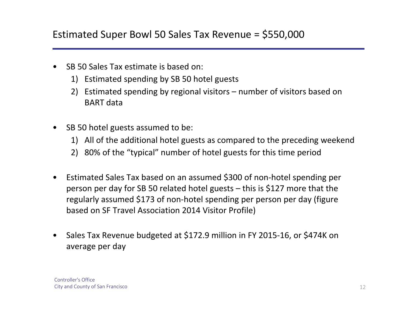- • SB 50 Sales Tax estimate is based on:
	- 1) Estimated spending by SB 50 hotel guests
	- 2) Estimated spending by regional visitors number of visitors based on BART data
- • SB 50 hotel guests assumed to be:
	- 1) All of the additional hotel guests as compared to the preceding weekend
	- 2) 80% of the "typical" number of hotel guests for this time period
- • Estimated Sales Tax based on an assumed \$300 of non‐hotel spending per person per day for SB 50 related hotel guests – this is \$127 more that the regularly assumed \$173 of non‐hotel spending per person per day (figure based on SF Travel Association 2014 Visitor Profile)
- • Sales Tax Revenue budgeted at \$172.9 million in FY 2015‐16, or \$474K on average per day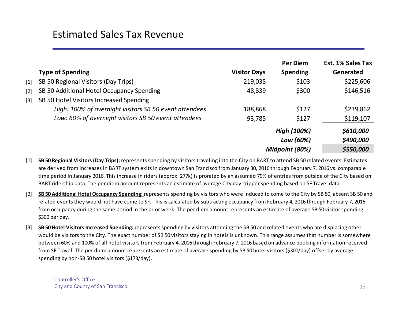|       |                                                        |                     | <b>Per Diem</b> | <b>Est. 1% Sales Tax</b> |
|-------|--------------------------------------------------------|---------------------|-----------------|--------------------------|
|       | <b>Type of Spending</b>                                | <b>Visitor Days</b> | <b>Spending</b> | Generated                |
| $[1]$ | SB 50 Regional Visitors (Day Trips)                    | 219,035             | \$103           | \$225,606                |
| $[2]$ | SB 50 Additional Hotel Occupancy Spending              | 48,839              | \$300           | \$146,516                |
| $[3]$ | SB 50 Hotel Visitors Increased Spending                |                     |                 |                          |
|       | High: 100% of overnight visitors SB 50 event attendees | 188,868             | \$127           | \$239,862                |
|       | Low: 60% of overnight visitors SB 50 event attendees   | 93,785              | \$127           | \$119,107                |
|       |                                                        |                     | High (100%)     | \$610,000                |
|       |                                                        |                     | Low (60%)       | \$490,000                |
|       |                                                        |                     | Midpoint (80%)  | \$550,000                |

[1] **SB 50 Regional Visitors(Day Trips):** represents spending by visitors traveling into the City on BART to attend SB 50 related events. Estimates are derived from increases in BART system exits in downtown San Francisco from January 30, 2016 through February 7, 2016 vs. comparable time period in January 2016. This increase in riders (approx. 277k) is prorated by an assumed 79% of entries from outside of the City based on BART ridership data. The per diem amount represents an estimate of average City day‐tripperspending based on SF Travel data.

- $\lceil 2 \rceil$ **SB 50 Additional Hotel Occupancy Spending:** represents spending by visitors who were induced to come to the City by SB 50, absent SB 50 and related events they would not have come to SF. This is calculated by subtracting occupancy from February 4, 2016 through February 7, 2016 from occupancy during the same period in the prior week. The per diem amount represents an estimate of average SB 50 visitor spending \$300 per day.
- [3] **SB 50 Hotel VisitorsIncreased Spending:** represents spending by visitors attending the SB 50 and related events who are displacing other would be visitors to the City. The exact number of SB 50 visitors staying in hotels is unknown. This range assumes that number is somewhere between 60% and 100% of all hotel visitors from February 4, 2016 through February 7, 2016 based on advance booking information received from SF Travel. The per diem amount represents an estimate of average spending by SB 50 hotel visitors (\$300/day) offset by average spending by non-SB 50 hotel visitors (\$173/day).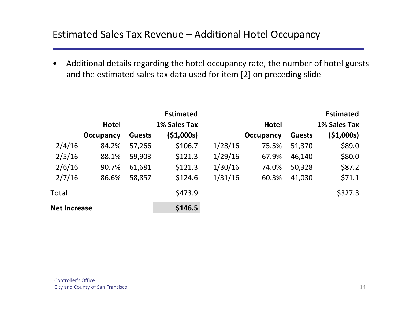$\bullet$  Additional details regarding the hotel occupancy rate, the number of hotel guests and the estimated sales tax data used for item [2] on preceding slide

|                     |              |               | <b>Estimated</b> |         |              |               | <b>Estimated</b> |
|---------------------|--------------|---------------|------------------|---------|--------------|---------------|------------------|
|                     | <b>Hotel</b> |               | 1% Sales Tax     |         | <b>Hotel</b> |               | 1% Sales Tax     |
|                     | Occupancy    | <b>Guests</b> | (\$1,000s)       |         | Occupancy    | <b>Guests</b> | ( \$1,000s)      |
| 2/4/16              | 84.2%        | 57,266        | \$106.7          | 1/28/16 | 75.5%        | 51,370        | \$89.0           |
| 2/5/16              | 88.1%        | 59,903        | \$121.3          | 1/29/16 | 67.9%        | 46,140        | \$80.0           |
| 2/6/16              | 90.7%        | 61,681        | \$121.3          | 1/30/16 | 74.0%        | 50,328        | \$87.2           |
| 2/7/16              | 86.6%        | 58,857        | \$124.6          | 1/31/16 | 60.3%        | 41,030        | \$71.1           |
| Total               |              |               | \$473.9          |         |              |               | \$327.3          |
| <b>Net Increase</b> |              |               | \$146.5          |         |              |               |                  |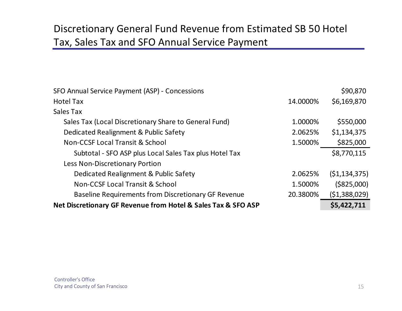# Discretionary General Fund Revenue from Estimated SB 50 Hotel Tax, Sales Tax and SFO Annual Service Payment

| Net Discretionary GF Revenue from Hotel & Sales Tax & SFO ASP |          | \$5,422,711    |
|---------------------------------------------------------------|----------|----------------|
| Baseline Requirements from Discretionary GF Revenue           | 20.3800% | (51,388,029)   |
| Non-CCSF Local Transit & School                               | 1.5000%  | ( \$825,000)   |
| Dedicated Realignment & Public Safety                         | 2.0625%  | (51, 134, 375) |
| <b>Less Non-Discretionary Portion</b>                         |          |                |
| Subtotal - SFO ASP plus Local Sales Tax plus Hotel Tax        |          | \$8,770,115    |
| Non-CCSF Local Transit & School                               | 1.5000%  | \$825,000      |
| Dedicated Realignment & Public Safety                         | 2.0625%  | \$1,134,375    |
| Sales Tax (Local Discretionary Share to General Fund)         | 1.0000%  | \$550,000      |
| Sales Tax                                                     |          |                |
| <b>Hotel Tax</b>                                              | 14.0000% | \$6,169,870    |
| SFO Annual Service Payment (ASP) - Concessions                |          | \$90,870       |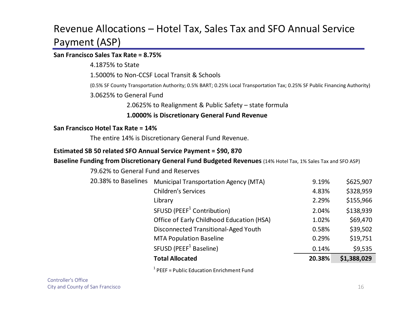## Revenue Allocations – Hotel Tax, Sales Tax and SFO Annual Service Payment (ASP)

#### **San Francisco Sales Tax Rate <sup>=</sup> 8.75%**

4.1875% to State

1.5000% to Non‐CCSF Local Transit & Schools

(0.5% SF County Transportation Authority; 0.5% BART; 0.25% Local Transportation Tax; 0.25% SF Public Financing Authority)

3.0625% to General Fund

2.0625% to Realignment & Public Safety – state formula

**1.0000% is Discretionary General Fund Revenue**

#### **San Francisco Hotel Tax Rate <sup>=</sup> 14%**

The entire 14% is Discretionary General Fund Revenue.

#### **Estimated SB 50 related SFO Annual Service Payment <sup>=</sup> \$90, 870**

#### **Baseline Funding from Discretionary General Fund Budgeted Revenues** (14% Hotel Tax, 1% Sales Tax and SFO ASP)

|                                     | <b>Total Allocated</b>                       | 20.38% | \$1,388,029 |
|-------------------------------------|----------------------------------------------|--------|-------------|
|                                     | SFUSD (PEEF <sup>1</sup> Baseline)           | 0.14%  | \$9,535     |
|                                     | <b>MTA Population Baseline</b>               | 0.29%  | \$19,751    |
|                                     | Disconnected Transitional-Aged Youth         | 0.58%  | \$39,502    |
|                                     | Office of Early Childhood Education (HSA)    | 1.02%  | \$69,470    |
|                                     | SFUSD (PEEF <sup>1</sup> Contribution)       | 2.04%  | \$138,939   |
|                                     | Library                                      | 2.29%  | \$155,966   |
|                                     | <b>Children's Services</b>                   | 4.83%  | \$328,959   |
| 20.38% to Baselines                 | <b>Municipal Transportation Agency (MTA)</b> | 9.19%  | \$625,907   |
| 79.62% to General Fund and Reserves |                                              |        |             |

 $1$  PEEF = Public Education Enrichment Fund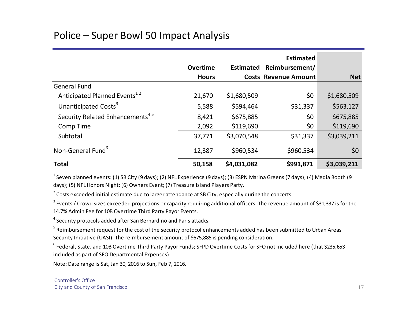## Police – Super Bowl 50 Impact Analysis

|                                             | <b>Overtime</b> |             | <b>Estimated</b><br>Estimated Reimbursement/ |             |
|---------------------------------------------|-----------------|-------------|----------------------------------------------|-------------|
|                                             | <b>Hours</b>    |             | <b>Costs Revenue Amount</b>                  | <b>Net</b>  |
| <b>General Fund</b>                         |                 |             |                                              |             |
| Anticipated Planned Events <sup>12</sup>    | 21,670          | \$1,680,509 | \$0                                          | \$1,680,509 |
| Unanticipated Costs <sup>3</sup>            | 5,588           | \$594,464   | \$31,337                                     | \$563,127   |
| Security Related Enhancements <sup>45</sup> | 8,421           | \$675,885   | \$0                                          | \$675,885   |
| <b>Comp Time</b>                            | 2,092           | \$119,690   | \$0                                          | \$119,690   |
| Subtotal                                    | 37,771          | \$3,070,548 | \$31,337                                     | \$3,039,211 |
| Non-General Fund <sup>6</sup>               | 12,387          | \$960,534   | \$960,534                                    | \$0         |
| <b>Total</b>                                | 50,158          | \$4,031,082 | \$991,871                                    | \$3,039,211 |

 $^{\rm 1}$  Seven planned events: (1) SB City (9 days); (2) NFL Experience (9 days); (3) ESPN Marina Greens (7 days); (4) Media Booth (9 days); (5) NFL Honors Night; (6) Owners Event; (7) Treasure Island Players Party.

 $^{2}$  Costs exceeded initial estimate due to larger attendance at SB City, especially during the concerts.

 $^3$  Events / Crowd sizes exceeded projections or capacity requiring additional officers. The revenue amount of \$31,337 is for the 14.7% Admin Fee for 10B Overtime Third Party Payor Events.

 $^4$  Security protocols added after San Bernardino and Paris attacks.

 $^5$  Reimbursement request for the cost of the security protocol enhancements added has been submitted to Urban Areas Security Initiative (UASI). The reimbursement amount of \$675,885 is pending consideration.

 $^6$  Federal, State, and 10B Overtime Third Party Payor Funds; SFPD Overtime Costs for SFO not included here (that \$235,653 included as part of SFO Departmental Expenses).

Note: Date range is Sat, Jan 30, 2016 to Sun, Feb 7, 2016.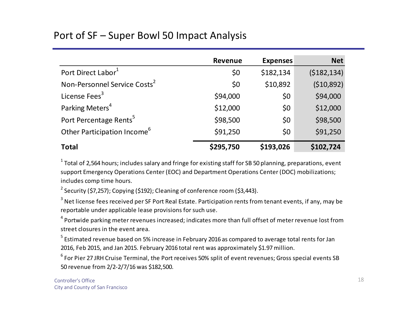### Port of SF – Super Bowl 50 Impact Analysis

|                                          | <b>Revenue</b> | <b>Expenses</b> | <b>Net</b>  |
|------------------------------------------|----------------|-----------------|-------------|
| Port Direct Labor <sup>1</sup>           | \$0            | \$182,134       | (5182, 134) |
| Non-Personnel Service Costs <sup>2</sup> | \$0            | \$10,892        | (510,892)   |
| License Fees <sup>3</sup>                | \$94,000       | \$0             | \$94,000    |
| Parking Meters <sup>4</sup>              | \$12,000       | \$0             | \$12,000    |
| Port Percentage Rents <sup>5</sup>       | \$98,500       | \$0             | \$98,500    |
| Other Participation Income <sup>6</sup>  | \$91,250       | \$0             | \$91,250    |
| <b>Total</b>                             | \$295,750      | \$193,026       | \$102,724   |

 $^1$  Total of 2,564 hours; includes salary and fringe for existing staff for SB 50 planning, preparations, event support Emergency Operations Center (EOC) and Department Operations Center (DOC) mobilizations; includes comp time hours.

<sup>2</sup> Security (\$7,257); Copying (\$192); Cleaning of conference room (\$3,443).

 $^3$  Net license fees received per SF Port Real Estate. Participation rents from tenant events, if any, may be reportable under applicable lease provisions for such use.

 $^4$  Portwide parking meter revenues increased; indicates more than full offset of meter revenue lost from street closures in the event area.

 $^5$  Estimated revenue based on 5% increase in February 2016 as compared to average total rents for Jan 2016, Feb 2015, and Jan 2015. February 2016 total rent was approximately \$1.97million.

 $^6$  For Pier 27 JRH Cruise Terminal, the Port receives 50% split of event revenues; Gross special events SB 50 revenue from 2/2‐2/7/16 was \$182,500.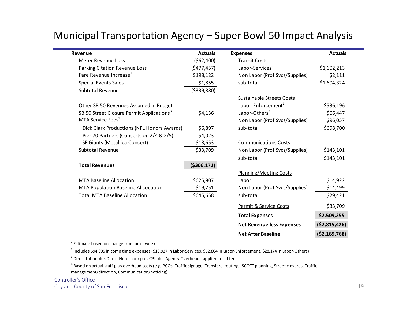| Revenue                                               | <b>Actuals</b> | <b>Expenses</b>                  | <b>Actuals</b> |
|-------------------------------------------------------|----------------|----------------------------------|----------------|
| <b>Meter Revenue Loss</b>                             | (562,400)      | <b>Transit Costs</b>             |                |
| Parking Citation Revenue Loss                         | (5477, 457)    | Labor-Services <sup>2</sup>      | \$1,602,213    |
| Fare Revenue Increase <sup>1</sup>                    | \$198,122      | Non Labor (Prof Svcs/Supplies)   | \$2,111        |
| <b>Special Events Sales</b>                           | \$1,855        | sub-total                        | \$1,604,324    |
| <b>Subtotal Revenue</b>                               | ( \$339, 880)  |                                  |                |
|                                                       |                | <b>Sustainable Streets Costs</b> |                |
| Other SB 50 Revenues Assumed in Budget                |                | Labor-Enforcement <sup>2</sup>   | \$536,196      |
| SB 50 Street Closure Permit Applications <sup>3</sup> | \$4,136        | Labor-Others <sup>2</sup>        | \$66,447       |
| MTA Service Fees <sup>4</sup>                         |                | Non Labor (Prof Svcs/Supplies)   | \$96,057       |
| Dick Clark Productions (NFL Honors Awards)            | \$6,897        | sub-total                        | \$698,700      |
| Pier 70 Partners (Concerts on 2/4 & 2/5)              | \$4,023        |                                  |                |
| SF Giants (Metallica Concert)                         | \$18,653       | <b>Communications Costs</b>      |                |
| Subtotal Revenue                                      | \$33,709       | Non Labor (Prof Svcs/Supplies)   | \$143,101      |
|                                                       |                | sub-total                        | \$143,101      |
| <b>Total Revenues</b>                                 | ( \$306, 171)  |                                  |                |
|                                                       |                | <b>Planning/Meeting Costs</b>    |                |
| <b>MTA Baseline Allocation</b>                        | \$625,907      | Labor                            | \$14,922       |
| MTA Population Baseline Allcocation                   | \$19,751       | Non Labor (Prof Svcs/Supplies)   | \$14,499       |
| <b>Total MTA Baseline Allocation</b>                  | \$645,658      | sub-total                        | \$29,421       |
|                                                       |                | Permit & Service Costs           | \$33,709       |
|                                                       |                | <b>Total Expenses</b>            | \$2,509,255    |
|                                                       |                | <b>Net Revenue less Expenses</b> | ( \$2,815,426) |
|                                                       |                | <b>Net After Baseline</b>        | ( \$2,169,768) |

#### Municipal Transportation Agency – Super Bowl 50 Impact Analysis

 $1$  Estimate based on change from prior week.

 $^2$  Includes \$94,905 in comp time expenses (\$13,927 in Labor-Services, \$52,804 in Labor-Enforcement, \$28,174 in Labor-Others).

 $^3$  Direct Labor plus Direct Non-Labor plus CPI plus Agency Overhead - applied to all fees.

 $^4$  Based on actual staff plus overhead costs (e.g. PCOs, Traffic signage, Transit re-routing, ISCOTT planning, Street closures, Traffic management/direction, Communication/noticing).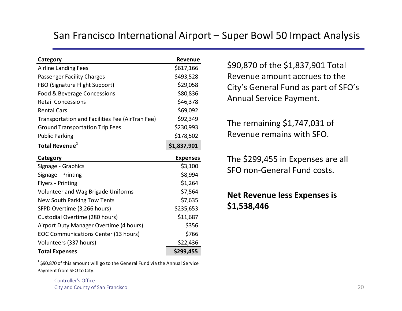#### San Francisco International Airport – Super Bowl 50 Impact Analysis

| Category                                        | Revenue         |
|-------------------------------------------------|-----------------|
| <b>Airline Landing Fees</b>                     | \$617,166       |
| <b>Passenger Facility Charges</b>               | \$493,528       |
| FBO (Signature Flight Support)                  | \$29,058        |
| Food & Beverage Concessions                     | \$80,836        |
| <b>Retail Concessions</b>                       | \$46,378        |
| <b>Rental Cars</b>                              | \$69,092        |
| Transportation and Facilities Fee (AirTran Fee) | \$92,349        |
| <b>Ground Transportation Trip Fees</b>          | \$230,993       |
| <b>Public Parking</b>                           | \$178,502       |
| Total Revenue <sup>1</sup>                      | \$1,837,901     |
|                                                 |                 |
| Category                                        | <b>Expenses</b> |
| Signage - Graphics                              | \$3,100         |
| Signage - Printing                              | \$8,994         |
| <b>Flyers - Printing</b>                        | \$1,264         |
| <b>Volunteer and Wag Brigade Uniforms</b>       | \$7,564         |
| New South Parking Tow Tents                     | \$7,635         |
| SFPD Overtime (3,266 hours)                     | \$235,653       |
| Custodial Overtime (280 hours)                  | \$11,687        |
| Airport Duty Manager Overtime (4 hours)         | \$356           |
| EOC Communications Center (13 hours)            | \$766           |
| Volunteers (337 hours)                          | \$22,436        |

\$90,870 of the \$1,837,901 Total Revenue amount accrues to the City's General Fund as part of SFO's Annual Service Payment.

The remaining \$1,747,031 of Revenue remains with SFO.

The \$299,455 in Expenses are all SFO non‐General Fund costs.

**Net Revenue less Expenses is \$1,538,446**

 $^1$  \$90,870 of this amount will go to the General Fund via the Annual Service Payment from SFO to City.

> Controller's OfficeCity and County of San Francisco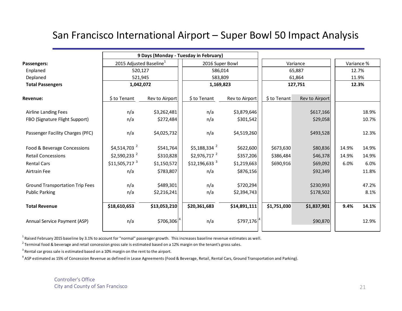#### San Francisco International Airport – Super Bowl 50 Impact Analysis

|                                        | 9 Days (Monday - Tuesday in February) |                |  |                            |                |              |                        |       |       |
|----------------------------------------|---------------------------------------|----------------|--|----------------------------|----------------|--------------|------------------------|-------|-------|
| Passengers:                            | 2015 Adjusted Baseline <sup>1</sup>   |                |  | 2016 Super Bowl            |                |              | Variance %<br>Variance |       |       |
| Enplaned                               | 520,127                               |                |  | 586,014                    |                |              | 65,887                 | 12.7% |       |
| Deplaned                               | 521,945                               |                |  | 583,809                    |                |              | 61,864                 | 11.9% |       |
| <b>Total Passengers</b>                | 1,042,072                             |                |  | 1,169,823<br>127,751       |                |              | 12.3%                  |       |       |
| Revenue:                               | \$ to Tenant                          | Rev to Airport |  | \$ to Tenant               | Rev to Airport | \$ to Tenant | Rev to Airport         |       |       |
| <b>Airline Landing Fees</b>            | n/a                                   | \$3,262,481    |  | n/a                        | \$3,879,646    |              | \$617,166              |       | 18.9% |
| FBO (Signature Flight Support)         | n/a                                   | \$272,484      |  | n/a                        | \$301,542      |              | \$29,058               |       | 10.7% |
| Passenger Facility Charges (PFC)       | n/a                                   | \$4,025,732    |  | n/a                        | \$4,519,260    |              | \$493,528              |       | 12.3% |
| Food & Beverage Concessions            | $$4,514,703$ <sup>2</sup>             | \$541,764      |  | $$5,188,334$ <sup>2</sup>  | \$622,600      | \$673,630    | \$80,836               | 14.9% | 14.9% |
| <b>Retail Concessions</b>              | $$2,590,233$ <sup>2</sup>             | \$310,828      |  | $$2,976,717$ <sup>2</sup>  | \$357,206      | \$386,484    | \$46,378               | 14.9% | 14.9% |
| <b>Rental Cars</b>                     | $$11,505,717$ <sup>3</sup>            | \$1,150,572    |  | $$12,196,633$ <sup>3</sup> | \$1,219,663    | \$690,916    | \$69,092               | 6.0%  | 6.0%  |
| Airtrain Fee                           | n/a                                   | \$783,807      |  | n/a                        | \$876,156      |              | \$92,349               |       | 11.8% |
| <b>Ground Transportation Trip Fees</b> | n/a                                   | \$489,301      |  | n/a                        | \$720,294      |              | \$230,993              |       | 47.2% |
| <b>Public Parking</b>                  | n/a                                   | \$2,216,241    |  | n/a                        | \$2,394,743    |              | \$178,502              |       | 8.1%  |
| <b>Total Revenue</b>                   | \$18,610,653                          | \$13,053,210   |  | \$20,361,683               | \$14,891,111   | \$1,751,030  | \$1,837,901            | 9.4%  | 14.1% |
| Annual Service Payment (ASP)           | n/a                                   | \$706,306      |  | n/a                        | \$797,176      |              | \$90,870               |       | 12.9% |

 $^1$  Raised February 2015 baseline by 3.1% to account for "normal" passenger growth. This increases baseline revenue estimates as well.

 $^2$  Terminal food & beverage and retail concession gross sale is estimated based on a 12% margin on the tenant's gross sales.

 $^3$  Rental car gross sale is estimated based on a 10% margin on the rent to the airport.

 $^4$  ASP estimated as 15% of Concession Revenue as defined in Lease Agreements (Food & Beverage, Retail, Rental Cars, Ground Transportation and Parking).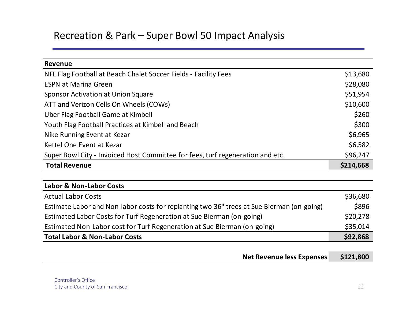#### Recreation & Park – Super Bowl 50 Impact Analysis

| <b>Revenue</b>                                                                 |           |
|--------------------------------------------------------------------------------|-----------|
| NFL Flag Football at Beach Chalet Soccer Fields - Facility Fees                | \$13,680  |
| <b>ESPN at Marina Green</b>                                                    | \$28,080  |
| <b>Sponsor Activation at Union Square</b>                                      | \$51,954  |
| ATT and Verizon Cells On Wheels (COWs)                                         | \$10,600  |
| Uber Flag Football Game at Kimbell                                             | \$260     |
| Youth Flag Football Practices at Kimbell and Beach                             | \$300     |
| Nike Running Event at Kezar                                                    | \$6,965   |
| Kettel One Event at Kezar                                                      | \$6,582   |
| Super Bowl City - Invoiced Host Committee for fees, turf regeneration and etc. | \$96,247  |
| <b>Total Revenue</b>                                                           | \$214,668 |

| <b>Labor &amp; Non-Labor Costs</b>                                                        |          |
|-------------------------------------------------------------------------------------------|----------|
| <b>Actual Labor Costs</b>                                                                 | \$36,680 |
| Estimate Labor and Non-labor costs for replanting two 36" trees at Sue Bierman (on-going) | \$896    |
| Estimated Labor Costs for Turf Regeneration at Sue Bierman (on-going)                     | \$20,278 |
| Estimated Non-Labor cost for Turf Regeneration at Sue Bierman (on-going)                  | \$35,014 |
| <b>Total Labor &amp; Non-Labor Costs</b>                                                  | \$92,868 |

| <b>Net Revenue less Expenses</b> | \$121,800 |
|----------------------------------|-----------|
|----------------------------------|-----------|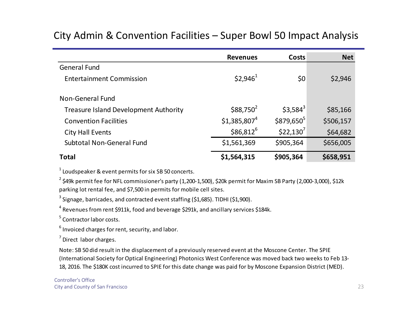#### **Revenues Costs Net**General FundEntertainment Commission  $$2,946^1$   $$90$   $$2,946$ Non‐General FundTreasure Island Development Authority  $\sim$  \$88,750<sup>2</sup> \$3,584<sup>3</sup> \$85,166 **Convention Facilities**  $$1,385,807^4$   $$879,650^5$   $$506,157$ City Hall Events  $$86,812^6$  \$22,130<sup>7</sup> \$64,682 Subtotal Non‐General Fund \$1,561,369 \$905,364 \$656,005

#### City Admin & Convention Facilities – Super Bowl 50 Impact Analysis

#### **Total \$1,564,315 \$905,364 \$658,951**

 $^{1}$  Loudspeaker & event permits for six SB 50 concerts.

 $^2$  \$49k permit fee for NFL commissioner's party (1,200-1,500), \$20k permit for Maxim SB Party (2,000-3,000), \$12k parking lot rental fee, and \$7,500 in permits for mobile cell sites.

 $^3$  Signage, barricades, and contracted event staffing (\$1,685). TIDHI (\$1,900).

 $^4$  Revenues from rent \$911k, food and beverage \$291k, and ancillary services \$184k.

 $^5$  Contractor labor costs.

 $^6$  Invoiced charges for rent, security, and labor.

 $<sup>7</sup>$  Direct labor charges.</sup>

Note: SB 50 did result in the displacement of <sup>a</sup> previously reserved event at the Moscone Center. The SPIE (International Society for Optical Engineering) Photonics West Conference was moved back two weeks to Feb 13‐ 18, 2016. The \$180K cost incurred to SPIE for this date change was paid for by Moscone Expansion District (MED).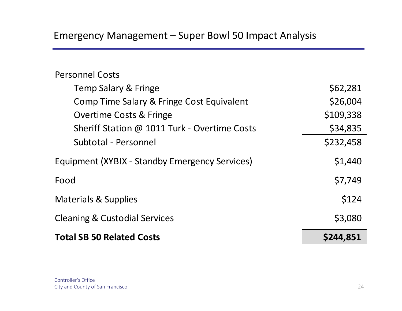#### Personnel Costs

| <b>Total SB 50 Related Costs</b>               | \$244,851 |
|------------------------------------------------|-----------|
| <b>Cleaning &amp; Custodial Services</b>       | \$3,080   |
| <b>Materials &amp; Supplies</b>                | \$124     |
| Food                                           | \$7,749   |
| Equipment (XYBIX - Standby Emergency Services) | \$1,440   |
| Subtotal - Personnel                           | \$232,458 |
| Sheriff Station @ 1011 Turk - Overtime Costs   | \$34,835  |
| <b>Overtime Costs &amp; Fringe</b>             | \$109,338 |
| Comp Time Salary & Fringe Cost Equivalent      | \$26,004  |
| <b>Temp Salary &amp; Fringe</b>                | \$62,281  |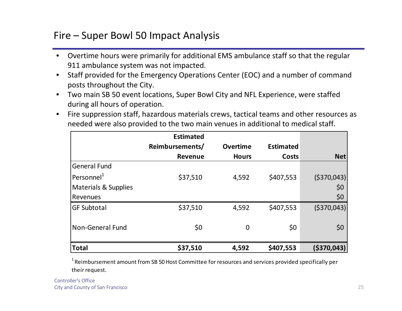#### Fire – Super Bowl 50 Impact Analysis

- $\bullet$  Overtime hours were primarily for additional EMS ambulance staff so that the regular 911 ambulance system was not impacted.
- $\bullet$  Staff provided for the Emergency Operations Center (EOC) and <sup>a</sup> number of command posts throughout the City.
- $\bullet$  Two main SB 50 event locations, Super Bowl City and NFL Experience, were staffed during all hours of operation.
- • Fire suppression staff, hazardous materials crews, tactical teams and other resources as needed were also provided to the two main venues in additional to medical staff.

|                                 | <b>Estimated</b> |                 |                  |              |
|---------------------------------|------------------|-----------------|------------------|--------------|
|                                 | Reimbursements/  | <b>Overtime</b> | <b>Estimated</b> |              |
|                                 | <b>Revenue</b>   | <b>Hours</b>    | <b>Costs</b>     | <b>Net</b>   |
| <b>General Fund</b>             |                  |                 |                  |              |
| Personnel <sup>1</sup>          | \$37,510         | 4,592           | \$407,553        | ( \$370,043] |
| <b>Materials &amp; Supplies</b> |                  |                 |                  | \$0          |
| Revenues                        |                  |                 |                  | \$0          |
| <b>GF Subtotal</b>              | \$37,510         | 4,592           | \$407,553        | ( \$370,043] |
| <b>Non-General Fund</b>         | \$0              | $\overline{0}$  | \$0              | \$0          |
| <b>Total</b>                    | \$37,510         | 4,592           | \$407,553        | (\$370,043)  |

 $^{\rm 1}$  Reimbursement amount from SB 50 Host Committee for resources and services provided specifically per their request.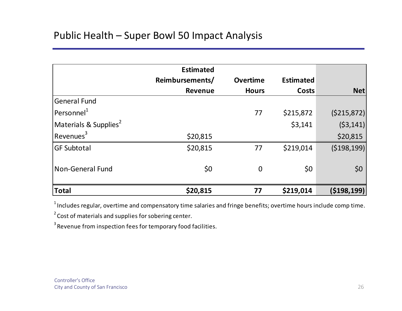## Public Health – Super Bowl 50 Impact Analysis

|                                   | <b>Estimated</b> |                 |                  |               |
|-----------------------------------|------------------|-----------------|------------------|---------------|
|                                   | Reimbursements/  | <b>Overtime</b> | <b>Estimated</b> |               |
|                                   | Revenue          | <b>Hours</b>    | <b>Costs</b>     | <b>Net</b>    |
| <b>General Fund</b>               |                  |                 |                  |               |
| $ $ Personnel $^1$                |                  | 77              | \$215,872        | (5215, 872)   |
| Materials & Supplies <sup>2</sup> |                  |                 | \$3,141          | (53, 141)     |
| Revenues <sup>3</sup>             | \$20,815         |                 |                  | \$20,815      |
| <b>GF Subtotal</b>                | \$20,815         | 77              | \$219,014        | (\$198,199)   |
| <b>Non-General Fund</b>           | \$0              | $\mathbf 0$     | \$0              | \$0           |
| Total                             | \$20,815         | 77              | \$219,014        | ( \$198, 199] |

 $^1$ Includes regular, overtime and compensatory time salaries and fringe benefits; overtime hours include comp time.

 $^{2}$  Cost of materials and supplies for sobering center.

 $^3$  Revenue from inspection fees for temporary food facilities.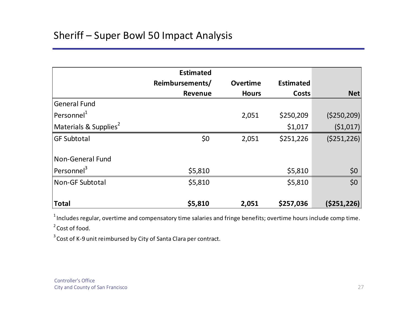|                                   | <b>Estimated</b> |                 |                  |               |
|-----------------------------------|------------------|-----------------|------------------|---------------|
|                                   | Reimbursements/  | <b>Overtime</b> | <b>Estimated</b> |               |
|                                   | <b>Revenue</b>   | <b>Hours</b>    | Costs            | <b>Net</b>    |
| <b>General Fund</b>               |                  |                 |                  |               |
| Personnel <sup>1</sup>            |                  | 2,051           | \$250,209        | ( \$250, 209) |
| Materials & Supplies <sup>2</sup> |                  |                 | \$1,017          | (51,017)      |
| <b>GF Subtotal</b>                | \$0              | 2,051           | \$251,226        | ( \$251, 226) |
| Non-General Fund                  |                  |                 |                  |               |
| Personnel <sup>3</sup>            | \$5,810          |                 | \$5,810          | \$0           |
| Non-GF Subtotal                   | \$5,810          |                 | \$5,810          | \$0           |
| <b>Total</b>                      | \$5,810          | 2,051           | \$257,036        | ( \$251, 226) |

 $^1$ Includes regular, overtime and compensatory time salaries and fringe benefits; overtime hours include comp time.

 $^2$  Cost of food.

 $^3$  Cost of K-9 unit reimbursed by City of Santa Clara per contract.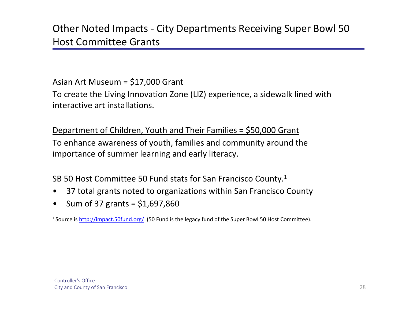#### Asian Art Museum <sup>=</sup> \$17,000 Grant

To create the Living Innovation Zone (LIZ) experience, <sup>a</sup> sidewalk lined with interactive art installations.

Department of Children, Youth and Their Families <sup>=</sup> \$50,000 Grant To enhance awareness of youth, families and community around the importance of summer learning and early literacy.

SB 50 Host Committee 50 Fund stats for San Francisco County. $^1$ 

- •37 total grants noted to organizations within San Francisco County
- •Sum of 37 grants <sup>=</sup> \$1,697,860

<sup>1</sup> Source is http://impact.50fund.org/ (50 Fund is the legacy fund of the Super Bowl 50 Host Committee).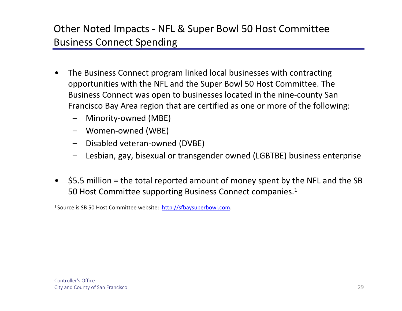# Other Noted Impacts ‐ NFL & Super Bowl 50 Host Committee Business Connect Spending

- • The Business Connect program linked local businesses with contracting opportunities with the NFL and the Super Bowl 50 Host Committee. The Business Connect was open to businesses located in the nine‐county San Francisco Bay Area region that are certified as one or more of the following:
	- –Minority‐owned (MBE)
	- Women‐owned (WBE)
	- –Disabled veteran‐owned (DVBE)
	- –Lesbian, gay, bisexual or transgender owned (LGBTBE) business enterprise
- $\bullet$  \$5.5 million <sup>=</sup> the total reported amount of money spent by the NFL and the SB 50 Host Committee supporting Business Connect companies.<sup>1</sup>

<sup>1</sup> Source is SB 50 Host Committee website: http://sfbaysuperbowl.com.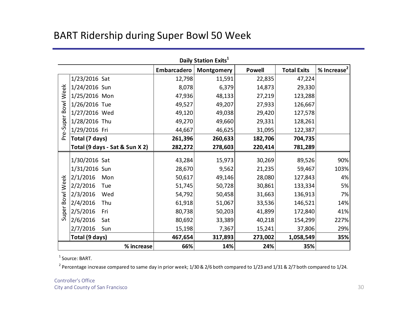#### BART Ridership during Super Bowl 50 Week

|                     | Daily Station Exits <sup>1</sup> |             |            |               |                    |                         |  |  |  |
|---------------------|----------------------------------|-------------|------------|---------------|--------------------|-------------------------|--|--|--|
|                     |                                  | Embarcadero | Montgomery | <b>Powell</b> | <b>Total Exits</b> | % Increase <sup>2</sup> |  |  |  |
|                     | $1/23/2016$ Sat                  | 12,798      | 11,591     | 22,835        | 47,224             |                         |  |  |  |
|                     | 1/24/2016 Sun                    | 8,078       | 6,379      | 14,873        | 29,330             |                         |  |  |  |
|                     | 1/25/2016 Mon                    | 47,936      | 48,133     | 27,219        | 123,288            |                         |  |  |  |
|                     | 1/26/2016 Tue                    | 49,527      | 49,207     | 27,933        | 126,667            |                         |  |  |  |
|                     | 1/27/2016 Wed                    | 49,120      | 49,038     | 29,420        | 127,578            |                         |  |  |  |
|                     | 1/28/2016 Thu                    | 49,270      | 49,660     | 29,331        | 128,261            |                         |  |  |  |
| Pre-Super Bowl Week | 1/29/2016 Fri                    | 44,667      | 46,625     | 31,095        | 122,387            |                         |  |  |  |
|                     | Total (7 days)                   | 261,396     | 260,633    | 182,706       | 704,735            |                         |  |  |  |
|                     | Total (9 days - Sat & Sun X 2)   | 282,272     | 278,603    | 220,414       | 781,289            |                         |  |  |  |
|                     | 1/30/2016 Sat                    | 43,284      | 15,973     | 30,269        | 89,526             | 90%                     |  |  |  |
|                     | 1/31/2016 Sun                    | 28,670      | 9,562      | 21,235        | 59,467             | 103%                    |  |  |  |
|                     | 2/1/2016<br>Mon                  | 50,617      | 49,146     | 28,080        | 127,843            | 4%                      |  |  |  |
| Super Bowl Week     | 2/2/2016<br>Tue                  | 51,745      | 50,728     | 30,861        | 133,334            | 5%                      |  |  |  |
|                     | 2/3/2016<br>Wed                  | 54,792      | 50,458     | 31,663        | 136,913            | 7%                      |  |  |  |
|                     | 2/4/2016<br>Thu                  | 61,918      | 51,067     | 33,536        | 146,521            | 14%                     |  |  |  |
|                     | 2/5/2016<br>Fri                  | 80,738      | 50,203     | 41,899        | 172,840            | 41%                     |  |  |  |
|                     | 2/6/2016<br>Sat                  | 80,692      | 33,389     | 40,218        | 154,299            | 227%                    |  |  |  |
|                     | 2/7/2016<br>Sun                  | 15,198      | 7,367      | 15,241        | 37,806             | 29%                     |  |  |  |
|                     | Total (9 days)                   | 467,654     | 317,893    | 273,002       | 1,058,549          | 35%                     |  |  |  |
|                     | % increase                       | 66%         | 14%        | 24%           | 35%                |                         |  |  |  |

 $^{\rm 1}$  Source: BART.

 $^2$  Percentage increase compared to same day in prior week; 1/30 & 2/6 both compared to 1/23 and 1/31 & 2/7 both compared to 1/24.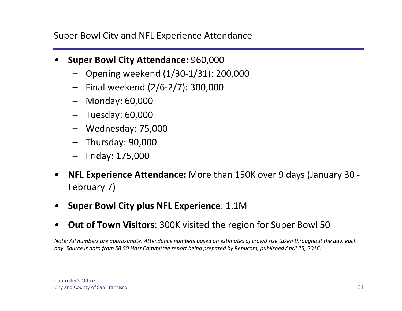Super Bowl City and NFL Experience Attendance

- • **Super Bowl City Attendance:** 960,000
	- Opening weekend (1/30‐1/31): 200,000
	- Final weekend (2/6‐2/7): 300,000
	- Monday: 60,000
	- Tuesday: 60,000
	- Wednesday: 75,000
	- Thursday: 90,000
	- Friday: 175,000
- $\bullet$  **NFL Experience Attendance:** More than 150K over 9 days (January 30 ‐ February 7)
- •**Super Bowl City plus NFL Experience**: 1.1M
- $\bullet$ **Out of Town Visitors**: 300K visited the region for Super Bowl 50

Note: All numbers are approximate. Attendance numbers based on estimates of crowd size taken throughout the day, each day. Source is data from SB 50 Host Committee report being prepared by Repucom, published April 25, 2016.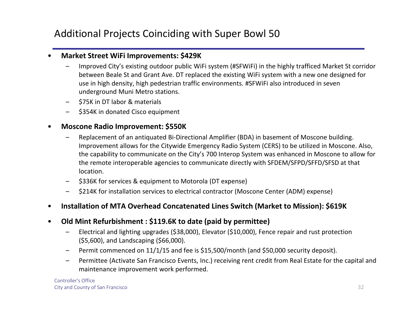## Additional Projects Coinciding with Super Bowl 50

#### •**Market Street WiFi Improvements: \$429K**

- Improved City's existing outdoor public WiFi system (#SFWiFi) in the highly trafficed Market St corridor between Beale St and Grant Ave. DT replaced the existing WiFi system with <sup>a</sup> new one designed for use in high density, high pedestrian traffic environments. #SFWiFi also introduced in seven underground Muni Metro stations.
- –\$75K in DT labor & materials
- \$354K in donated Cisco equipment

#### •**Moscone Radio Improvement: \$550K**

- Replacement of an antiquated Bi‐Directional Amplifier (BDA) in basement of Moscone building. Improvement allows for the Citywide Emergency Radio System (CERS) to be utilized in Moscone. Also, the capability to communicate on the City's 700 Interop System was enhanced in Moscone to allow for the remote interoperable agencies to communicate directly with SFDEM/SFPD/SFFD/SFSD at that location.
- –\$336K for services & equipment to Motorola (DT expense)
- –\$214K for installation services to electrical contractor (Moscone Center (ADM) expense)

#### •**Installation of MTA Overhead Concatenated Lines Switch (Market to Mission): \$619K**

- $\bullet$  **Old Mint Refurbishment : \$119.6K to date (paid by permittee)**
	- – Electrical and lighting upgrades (\$38,000), Elevator (\$10,000), Fence repair and rust protection (\$5,600), and Landscaping (\$66,000).
	- –Permit commenced on 11/1/15 and fee is \$15,500/month (and \$50,000 security deposit).
	- Permittee (Activate San Francisco Events, Inc.) receiving rent credit from Real Estate for the capital and maintenance improvement work performed.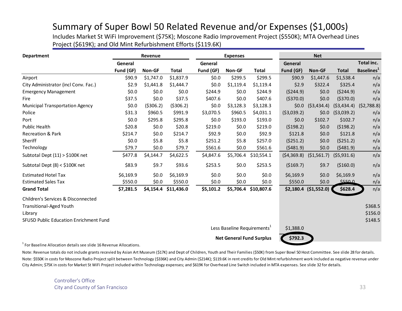#### Summary of Super Bowl 50 Related Revenue and/or Expenses (\$1,000s)

Includes Market St WiFi Improvement (\$75K); Moscone Radio Improvement Project (\$550K); MTA Overhead Lines Project (\$619K); and Old Mint Refurbishment Efforts (\$119.6K)

| <b>Department</b>                                                    |           | Revenue    |                      |                                         | <b>Expenses</b> |                                 |            | <b>Net</b>            |              |                           |
|----------------------------------------------------------------------|-----------|------------|----------------------|-----------------------------------------|-----------------|---------------------------------|------------|-----------------------|--------------|---------------------------|
|                                                                      | General   |            |                      | General                                 |                 |                                 | General    |                       |              | Total inc.                |
|                                                                      | Fund (GF) | Non-GF     | <b>Total</b>         | Fund (GF)                               | Non-GF          | Total                           | Fund (GF)  | Non-GF                | <b>Total</b> | Baselines <sup>1</sup>    |
| Airport                                                              | \$90.9    | \$1,747.0  | \$1,837.9            | \$0.0                                   | \$299.5         | \$299.5                         | \$90.9     | \$1,447.6             | \$1,538.4    | n/a                       |
| City Administrator (incl Conv. Fac.)                                 | \$2.9     | \$1,441.8  | \$1,444.7            | \$0.0                                   | \$1,119.4       | \$1,119.4                       | \$2.9      | \$322.4               | \$325.4      | n/a                       |
| <b>Emergency Management</b>                                          | \$0.0     | \$0.0      | \$0.0                | \$244.9                                 | \$0.0           | \$244.9                         | (5244.9)   | \$0.0                 | (5244.9)     | n/a                       |
| Fire                                                                 | \$37.5    | \$0.0      | \$37.5               | \$407.6                                 | \$0.0           | \$407.6                         | (5370.0)   | \$0.0                 | (5370.0)     | n/a                       |
| <b>Municipal Transportation Agency</b>                               | \$0.0     | ( \$306.2) | ( \$306.2)           | \$0.0                                   | \$3,128.3       | \$3,128.3                       | \$0.0\$    | (53, 434.4)           |              | $(53,434.4)$ $(52,788.8)$ |
| Police                                                               | \$31.3    | \$960.5    | \$991.9              | \$3,070.5                               | \$960.5         | \$4,031.1                       | (53,039.2) | \$0.0                 | (53,039.2)   | n/a                       |
| Port                                                                 | \$0.0     | \$295.8    | \$295.8              | \$0.0                                   | \$193.0         | \$193.0                         | \$0.0\$    | \$102.7               | \$102.7      | n/a                       |
| Public Health                                                        | \$20.8    | \$0.0      | \$20.8               | \$219.0                                 | \$0.0           | \$219.0                         | (5198.2)   | \$0.0\$               | (5198.2)     | n/a                       |
| <b>Recreation &amp; Park</b>                                         | \$214.7   | \$0.0      | \$214.7              | \$92.9                                  | \$0.0           | \$92.9                          | \$121.8    | \$0.0\$               | \$121.8      | n/a                       |
| Sheriff                                                              | \$0.0     | \$5.8      | \$5.8                | \$251.2                                 | \$5.8           | \$257.0                         | (5251.2)   | \$0.0\$               | (5251.2)     | n/a                       |
| Technology                                                           | \$79.7    | \$0.0\$    | \$79.7               | \$561.6                                 | \$0.0           | \$561.6                         | (5481.9)   | \$0.0                 | (5481.9)     | n/a                       |
| Subtotal Dept $(11)$ > \$100K net                                    | \$477.8   | \$4,144.7  | \$4,622.5            | \$4,847.6                               | \$5,706.4       | \$10,554.1                      | (54,369.8) | (51, 561.7)           | (55,931.6)   | n/a                       |
| Subtotal Dept (8) < \$100K net                                       | \$83.9    | \$9.7      | \$93.6               | \$253.5                                 | \$0.0           | \$253.5                         | (5169.7)   | \$9.7                 | (\$160.0)    | n/a                       |
| <b>Estimated Hotel Tax</b>                                           | \$6,169.9 | \$0.0      | \$6,169.9            | \$0.0                                   | \$0.0\$         | \$0.0\$                         | \$6,169.9  | \$0.0\$               | \$6,169.9    | n/a                       |
| <b>Estimated Sales Tax</b>                                           | \$550.0   | \$0.0      | \$550.0              | \$0.0                                   | \$0.0           | \$0.0\$                         | \$550.0    | \$0.0                 | \$550.0      | n/a                       |
| <b>Grand Total</b>                                                   | \$7,281.5 |            | \$4,154.4 \$11,436.0 | \$5,101.2                               | \$5,706.4       | \$10,807.6                      |            | \$2,180.4 (\$1,552.0) | \$628.4      | n/a                       |
| Children's Services & Disconnected<br><b>Transitional-Aged Youth</b> |           |            |                      |                                         |                 |                                 |            |                       |              | \$368.5                   |
| Library                                                              |           |            |                      |                                         |                 |                                 |            |                       |              | \$156.0                   |
| <b>SFUSD Public Education Enrichment Fund</b>                        |           |            |                      |                                         |                 |                                 |            |                       |              | \$148.5                   |
|                                                                      |           |            |                      | Less Baseline Requirements <sup>1</sup> |                 |                                 | \$1,388.0  |                       |              |                           |
|                                                                      |           |            |                      |                                         |                 | <b>Net General Fund Surplus</b> | \$792.3    |                       |              |                           |
|                                                                      |           |            |                      |                                         |                 |                                 |            |                       |              |                           |

1For Baseline Allocation details see slide 16 Revenue Allocations.

Note: \$550K in costs for Moscone Radio Project split between Technology (\$336K) and City Admin (\$214K); \$119.6K in rent credits for Old Mint refurbishment work included as negative revenue under City Admin; \$75K in costs for Market St WiFi Project included within Technology expenses; and \$619K for Overhead Line Switch included in MTA expenses. See slide 32 for details. Note: Revenue totals do not include grants recevied by Asian Art Museum (\$17K) and Dept of Children, Youth and Their Families (\$50K) from Super Bowl 50 Host Committee. See slide 28 for details.